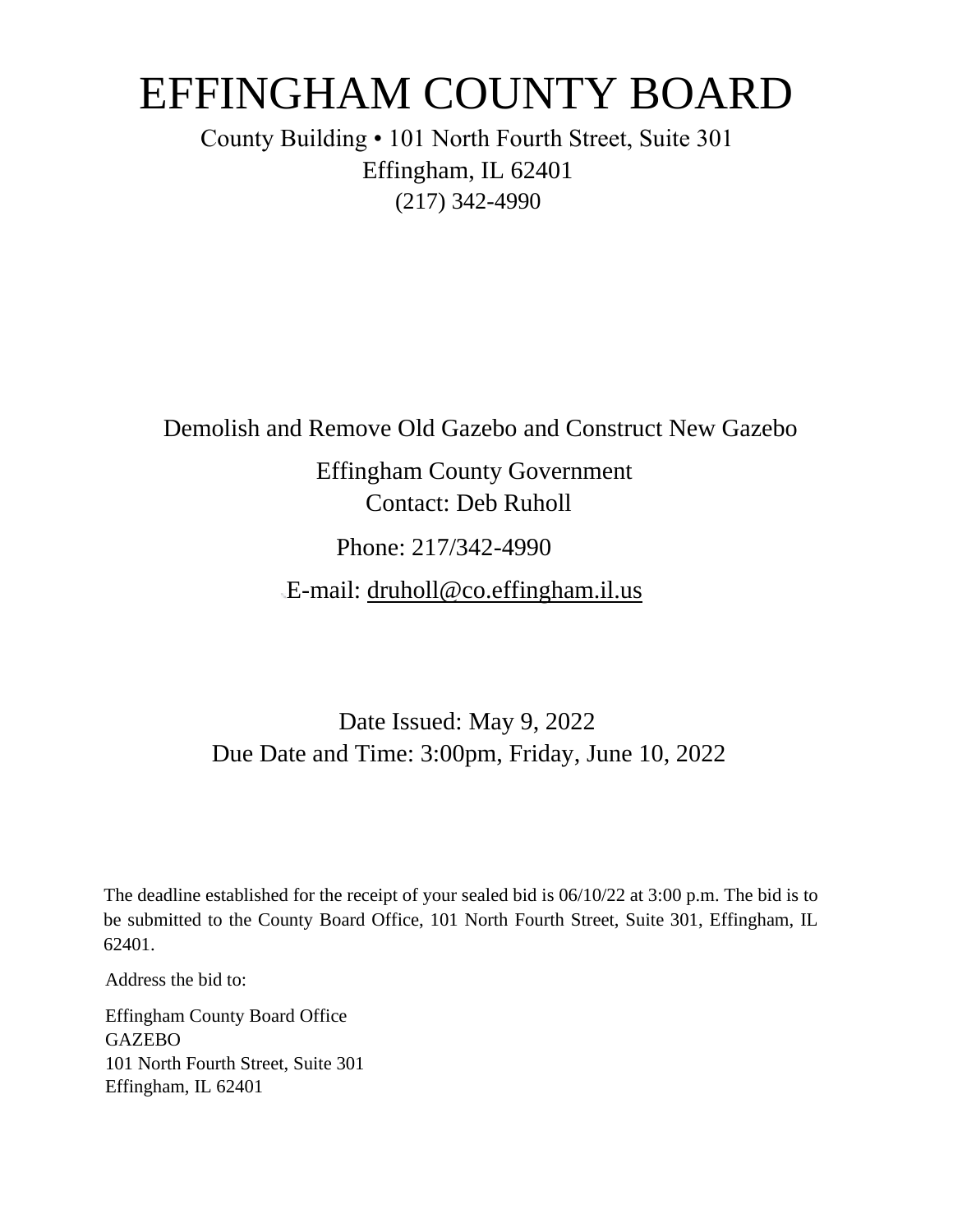# EFFINGHAM COUNTY BOARD

County Building • 101 North Fourth Street, Suite 301 Effingham, IL 62401 (217) 342-4990

Demolish and Remove Old Gazebo and Construct New Gazebo

Effingham County Government Contact: Deb Ruholl

Phone: 217/342-4990

E-mail: druholl@co.effingham.il.us

# Date Issued: May 9, 2022 Due Date and Time: 3:00pm, Friday, June 10, 2022

The deadline established for the receipt of your sealed bid is 06/10/22 at 3:00 p.m. The bid is to be submitted to the County Board Office, 101 North Fourth Street, Suite 301, Effingham, IL 62401.

Address the bid to:

Effingham County Board Office **GAZEBO** 101 North Fourth Street, Suite 301 Effingham, IL 62401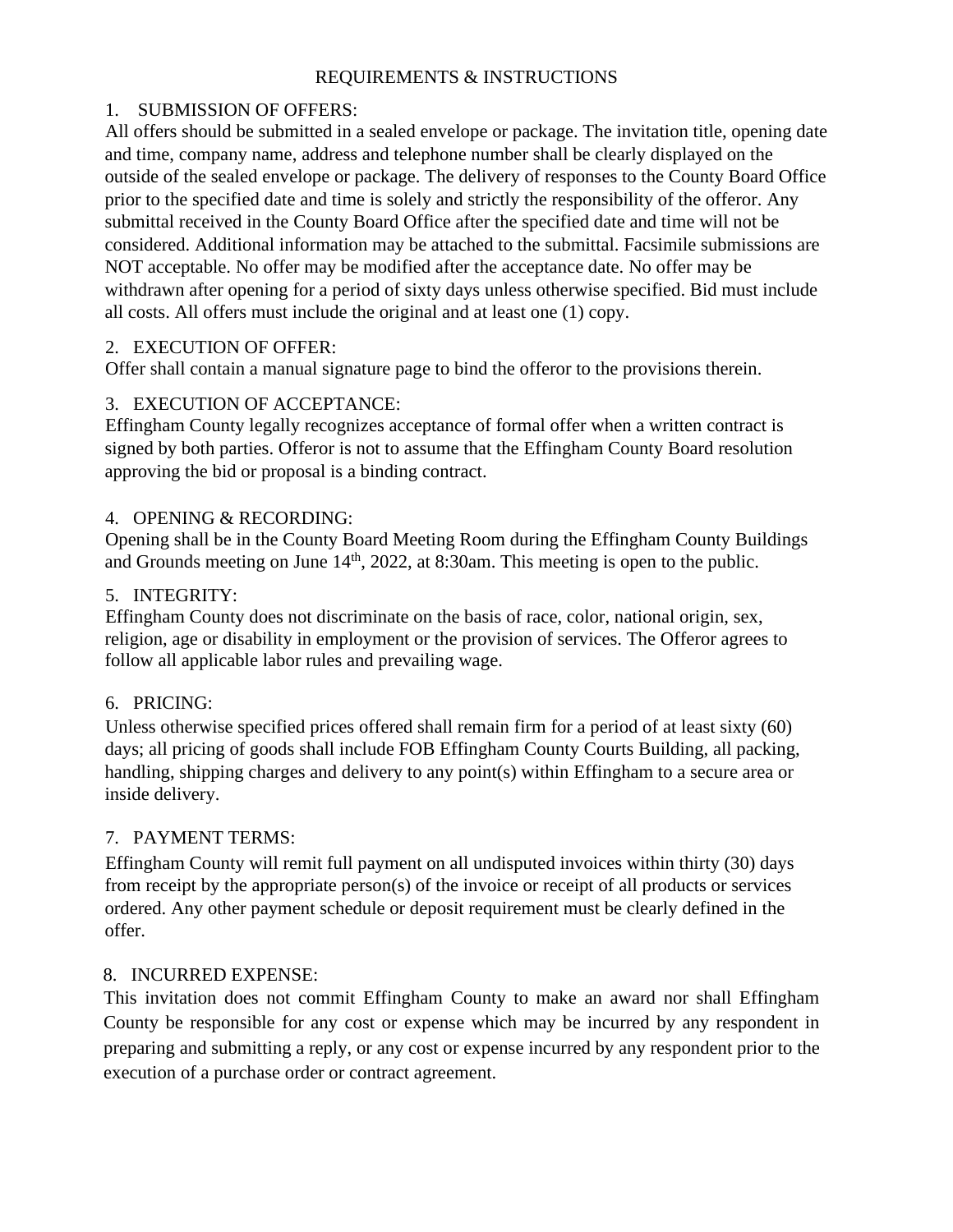#### REQUIREMENTS & INSTRUCTIONS

#### 1. SUBMISSION OF OFFERS:

All offers should be submitted in a sealed envelope or package. The invitation title, opening date and time, company name, address and telephone number shall be clearly displayed on the outside of the sealed envelope or package. The delivery of responses to the County Board Office prior to the specified date and time is solely and strictly the responsibility of the offeror. Any submittal received in the County Board Office after the specified date and time will not be considered. Additional information may be attached to the submittal. Facsimile submissions are NOT acceptable. No offer may be modified after the acceptance date. No offer may be withdrawn after opening for a period of sixty days unless otherwise specified. Bid must include all costs. All offers must include the original and at least one (1) copy.

#### 2. EXECUTION OF OFFER:

Offer shall contain a manual signature page to bind the offeror to the provisions therein.

#### 3. EXECUTION OF ACCEPTANCE:

Effingham County legally recognizes acceptance of formal offer when a written contract is signed by both parties. Offeror is not to assume that the Effingham County Board resolution approving the bid or proposal is a binding contract.

#### 4. OPENING & RECORDING:

Opening shall be in the County Board Meeting Room during the Effingham County Buildings and Grounds meeting on June  $14<sup>th</sup>$ , 2022, at 8:30am. This meeting is open to the public.

#### 5. INTEGRITY:

Effingham County does not discriminate on the basis of race, color, national origin, sex, religion, age or disability in employment or the provision of services. The Offeror agrees to follow all applicable labor rules and prevailing wage.

#### 6. PRICING:

Unless otherwise specified prices offered shall remain firm for a period of at least sixty (60) days; all pricing of goods shall include FOB Effingham County Courts Building, all packing, handling, shipping charges and delivery to any point(s) within Effingham to a secure area or inside delivery.

#### 7. PAYMENT TERMS:

Effingham County will remit full payment on all undisputed invoices within thirty (30) days from receipt by the appropriate person(s) of the invoice or receipt of all products or services ordered. Any other payment schedule or deposit requirement must be clearly defined in the offer.

#### 8. INCURRED EXPENSE:

This invitation does not commit Effingham County to make an award nor shall Effingham County be responsible for any cost or expense which may be incurred by any respondent in preparing and submitting a reply, or any cost or expense incurred by any respondent prior to the execution of a purchase order or contract agreement.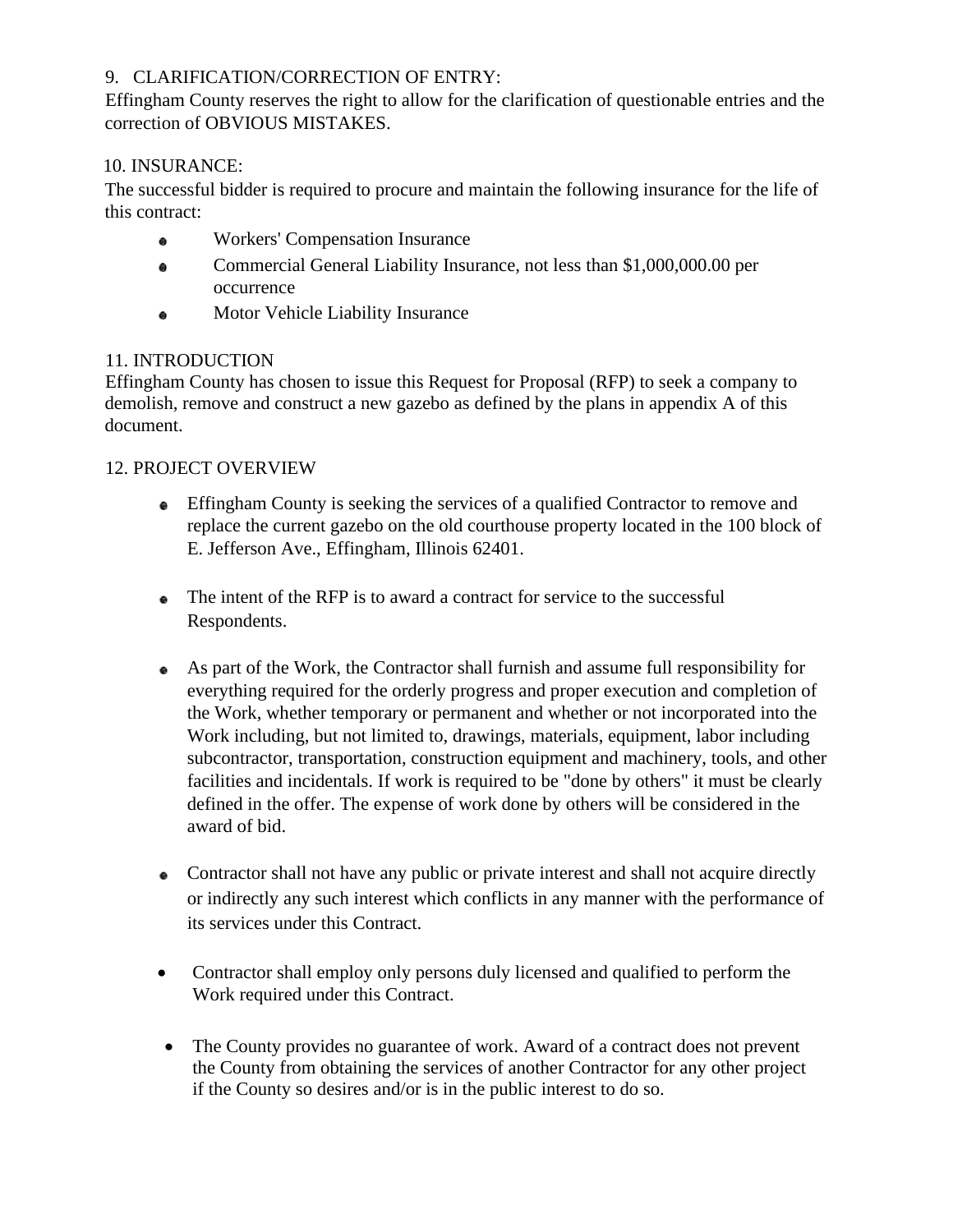#### 9. CLARIFICATION/CORRECTION OF ENTRY:

Effingham County reserves the right to allow for the clarification of questionable entries and the correction of OBVIOUS MISTAKES.

#### 10. INSURANCE:

The successful bidder is required to procure and maintain the following insurance for the life of this contract:

- Workers' Compensation Insurance  $\bullet$
- Commercial General Liability Insurance, not less than \$1,000,000.00 per  $\bullet$ occurrence
- Motor Vehicle Liability Insurance  $\bullet$

#### 11. INTRODUCTION

Effingham County has chosen to issue this Request for Proposal (RFP) to seek a company to demolish, remove and construct a new gazebo as defined by the plans in appendix A of this document.

#### 12. PROJECT OVERVIEW

- Effingham County is seeking the services of a qualified Contractor to remove and replace the current gazebo on the old courthouse property located in the 100 block of E. Jefferson Ave., Effingham, Illinois 62401.
- The intent of the RFP is to award a contract for service to the successful Respondents.
- As part of the Work, the Contractor shall furnish and assume full responsibility for everything required for the orderly progress and proper execution and completion of the Work, whether temporary or permanent and whether or not incorporated into the Work including, but not limited to, drawings, materials, equipment, labor including subcontractor, transportation, construction equipment and machinery, tools, and other facilities and incidentals. If work is required to be "done by others" it must be clearly defined in the offer. The expense of work done by others will be considered in the award of bid.
- Contractor shall not have any public or private interest and shall not acquire directly or indirectly any such interest which conflicts in any manner with the performance of its services under this Contract.
- Contractor shall employ only persons duly licensed and qualified to perform the Work required under this Contract.
- The County provides no guarantee of work. Award of a contract does not prevent the County from obtaining the services of another Contractor for any other project if the County so desires and/or is in the public interest to do so.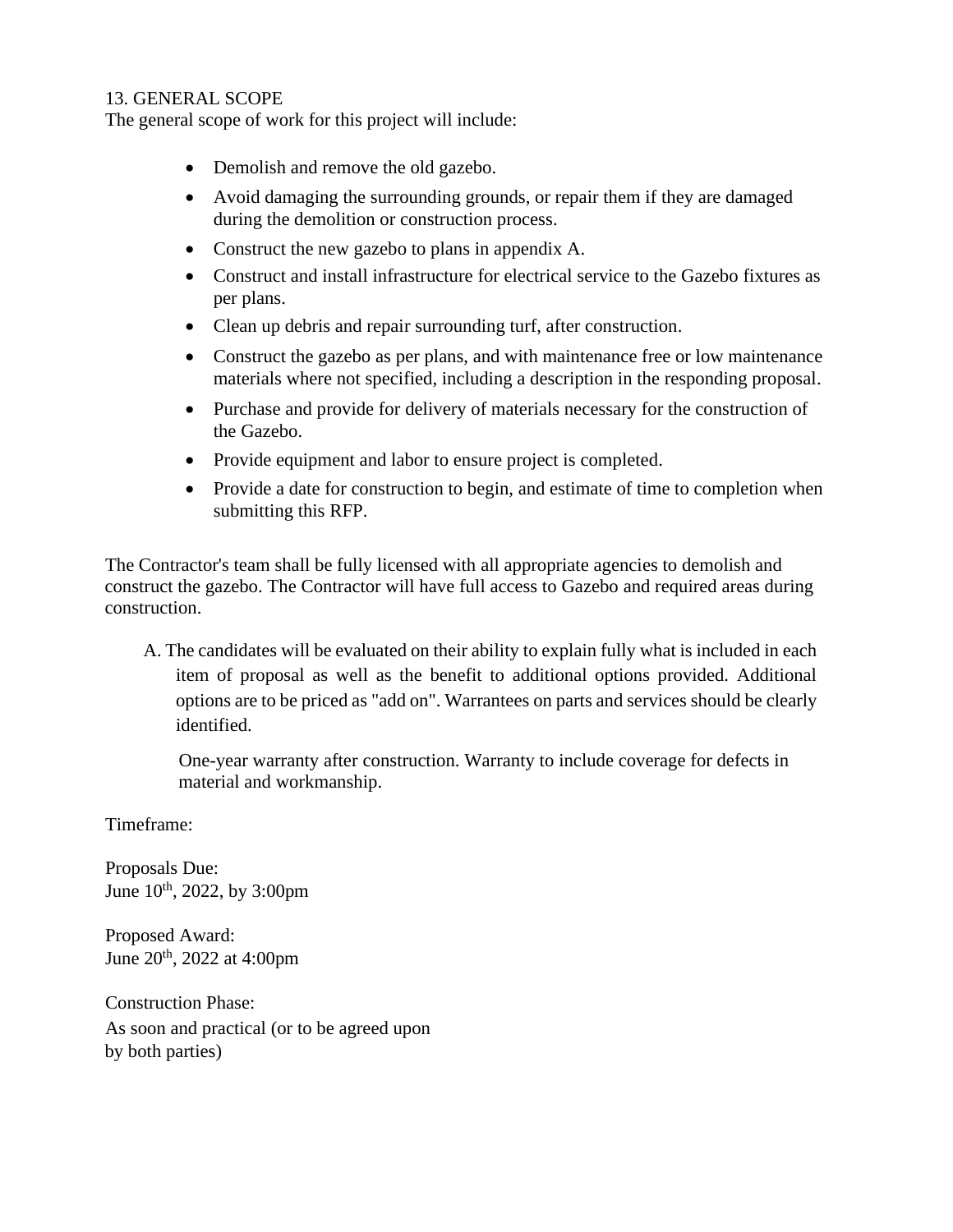#### 13. GENERAL SCOPE

The general scope of work for this project will include:

- Demolish and remove the old gazebo.
- Avoid damaging the surrounding grounds, or repair them if they are damaged during the demolition or construction process.
- Construct the new gazebo to plans in appendix A.
- Construct and install infrastructure for electrical service to the Gazebo fixtures as per plans.
- Clean up debris and repair surrounding turf, after construction.
- Construct the gazebo as per plans, and with maintenance free or low maintenance materials where not specified, including a description in the responding proposal.
- Purchase and provide for delivery of materials necessary for the construction of the Gazebo.
- Provide equipment and labor to ensure project is completed.
- Provide a date for construction to begin, and estimate of time to completion when submitting this RFP.

The Contractor's team shall be fully licensed with all appropriate agencies to demolish and construct the gazebo. The Contractor will have full access to Gazebo and required areas during construction.

A. The candidates will be evaluated on their ability to explain fully what is included in each item of proposal as well as the benefit to additional options provided. Additional options are to be priced as "add on". Warrantees on parts and services should be clearly identified.

One-year warranty after construction. Warranty to include coverage for defects in material and workmanship.

Timeframe:

Proposals Due: June  $10^{th}$ , 2022, by 3:00pm

Proposed Award: June 20th, 2022 at 4:00pm

Construction Phase: As soon and practical (or to be agreed upon by both parties)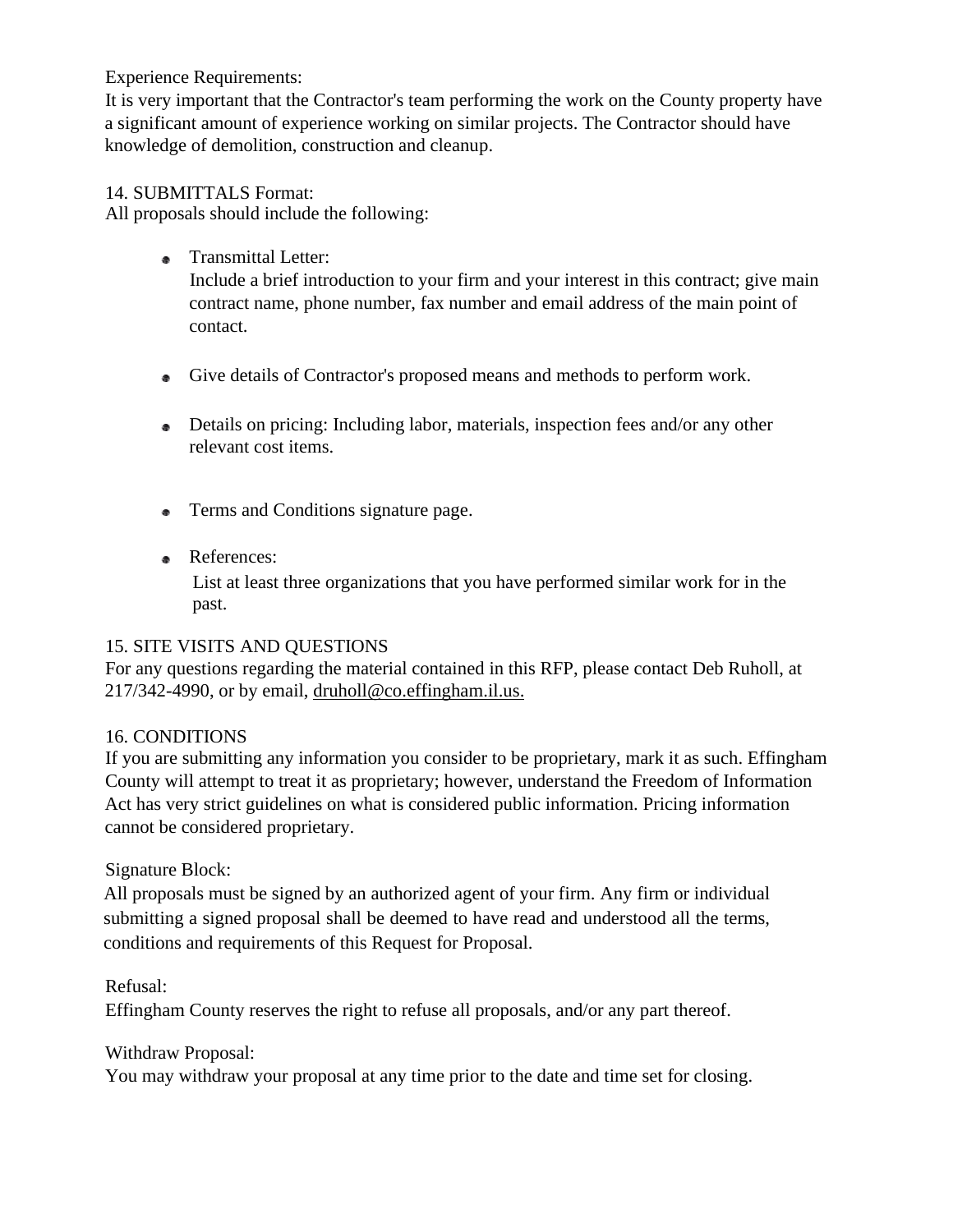#### Experience Requirements:

It is very important that the Contractor's team performing the work on the County property have a significant amount of experience working on similar projects. The Contractor should have knowledge of demolition, construction and cleanup.

#### 14. SUBMITTALS Format:

All proposals should include the following:

• Transmittal Letter:

Include a brief introduction to your firm and your interest in this contract; give main contract name, phone number, fax number and email address of the main point of contact.

- Give details of Contractor's proposed means and methods to perform work.
- Details on pricing: Including labor, materials, inspection fees and/or any other relevant cost items.
- Terms and Conditions signature page.
- References:

List at least three organizations that you have performed similar work for in the past.

#### 15. SITE VISITS AND QUESTIONS

For any questions regarding the material contained in this RFP, please contact Deb Ruholl, at 217/342-4990, or by email, druholl@co.effingham.il.us.

## 16. CONDITIONS

If you are submitting any information you consider to be proprietary, mark it as such. Effingham County will attempt to treat it as proprietary; however, understand the Freedom of Information Act has very strict guidelines on what is considered public information. Pricing information cannot be considered proprietary.

## Signature Block:

All proposals must be signed by an authorized agent of your firm. Any firm or individual submitting a signed proposal shall be deemed to have read and understood all the terms, conditions and requirements of this Request for Proposal.

Refusal:

Effingham County reserves the right to refuse all proposals, and/or any part thereof.

Withdraw Proposal:

You may withdraw your proposal at any time prior to the date and time set for closing.